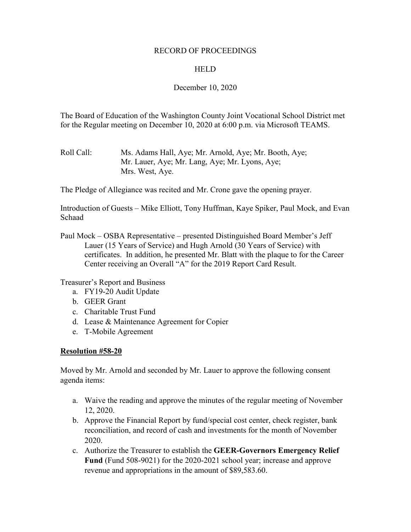#### RECORD OF PROCEEDINGS

### **HELD**

### December 10, 2020

The Board of Education of the Washington County Joint Vocational School District met for the Regular meeting on December 10, 2020 at 6:00 p.m. via Microsoft TEAMS.

Roll Call: Ms. Adams Hall, Aye; Mr. Arnold, Aye; Mr. Booth, Aye; Mr. Lauer, Aye; Mr. Lang, Aye; Mr. Lyons, Aye; Mrs. West, Aye.

The Pledge of Allegiance was recited and Mr. Crone gave the opening prayer.

Introduction of Guests – Mike Elliott, Tony Huffman, Kaye Spiker, Paul Mock, and Evan Schaad

Paul Mock – OSBA Representative – presented Distinguished Board Member's Jeff Lauer (15 Years of Service) and Hugh Arnold (30 Years of Service) with certificates. In addition, he presented Mr. Blatt with the plaque to for the Career Center receiving an Overall "A" for the 2019 Report Card Result.

Treasurer's Report and Business

- a. FY19-20 Audit Update
- b. GEER Grant
- c. Charitable Trust Fund
- d. Lease & Maintenance Agreement for Copier
- e. T-Mobile Agreement

### **Resolution #58-20**

Moved by Mr. Arnold and seconded by Mr. Lauer to approve the following consent agenda items:

- a. Waive the reading and approve the minutes of the regular meeting of November 12, 2020.
- b. Approve the Financial Report by fund/special cost center, check register, bank reconciliation, and record of cash and investments for the month of November 2020.
- c. Authorize the Treasurer to establish the **GEER-Governors Emergency Relief Fund** (Fund 508-9021) for the 2020-2021 school year; increase and approve revenue and appropriations in the amount of \$89,583.60.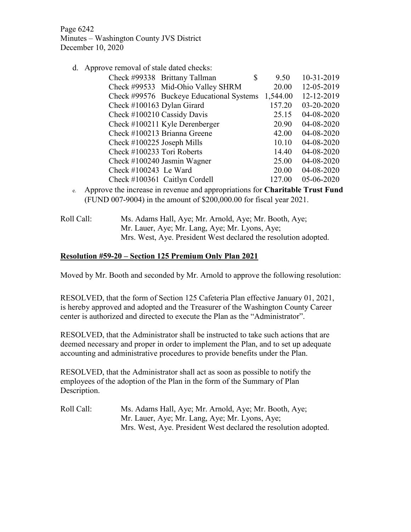Page 6242 Minutes – Washington County JVS District December 10, 2020

d. Approve removal of stale dated checks:

|                               | Check #99338 Brittany Tallman            | \$<br>9.50 | 10-31-2019 |
|-------------------------------|------------------------------------------|------------|------------|
|                               | Check #99533 Mid-Ohio Valley SHRM        | 20.00      | 12-05-2019 |
|                               | Check #99576 Buckeye Educational Systems | 1,544.00   | 12-12-2019 |
| Check #100163 Dylan Girard    |                                          | 157.20     | 03-20-2020 |
| Check #100210 Cassidy Davis   |                                          | 25.15      | 04-08-2020 |
|                               | Check #100211 Kyle Derenberger           | 20.90      | 04-08-2020 |
|                               | Check #100213 Brianna Greene             | 42.00      | 04-08-2020 |
| Check $\#100225$ Joseph Mills |                                          | 10.10      | 04-08-2020 |
| Check #100233 Tori Roberts    |                                          | 14.40      | 04-08-2020 |
|                               | Check #100240 Jasmin Wagner              | 25.00      | 04-08-2020 |
| Check $\#100243$ Le Ward      |                                          | 20.00      | 04-08-2020 |
|                               | Check #100361 Caitlyn Cordell            | 127.00     | 05-06-2020 |
|                               |                                          |            |            |

- e. Approve the increase in revenue and appropriations for **Charitable Trust Fund** (FUND 007-9004) in the amount of \$200,000.00 for fiscal year 2021.
- Roll Call: Ms. Adams Hall, Aye; Mr. Arnold, Aye; Mr. Booth, Aye; Mr. Lauer, Aye; Mr. Lang, Aye; Mr. Lyons, Aye; Mrs. West, Aye. President West declared the resolution adopted.

### **Resolution #59-20 – Section 125 Premium Only Plan 2021**

Moved by Mr. Booth and seconded by Mr. Arnold to approve the following resolution:

RESOLVED, that the form of Section 125 Cafeteria Plan effective January 01, 2021, is hereby approved and adopted and the Treasurer of the Washington County Career center is authorized and directed to execute the Plan as the "Administrator".

RESOLVED, that the Administrator shall be instructed to take such actions that are deemed necessary and proper in order to implement the Plan, and to set up adequate accounting and administrative procedures to provide benefits under the Plan.

RESOLVED, that the Administrator shall act as soon as possible to notify the employees of the adoption of the Plan in the form of the Summary of Plan Description.

Roll Call: Ms. Adams Hall, Aye; Mr. Arnold, Aye; Mr. Booth, Aye; Mr. Lauer, Aye; Mr. Lang, Aye; Mr. Lyons, Aye; Mrs. West, Aye. President West declared the resolution adopted.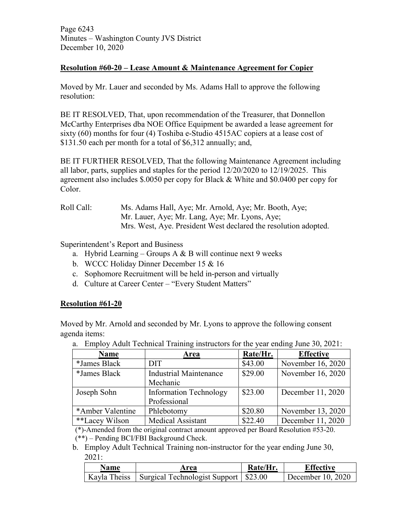Page 6243 Minutes – Washington County JVS District December 10, 2020

### **Resolution #60-20 – Lease Amount & Maintenance Agreement for Copier**

Moved by Mr. Lauer and seconded by Ms. Adams Hall to approve the following resolution:

BE IT RESOLVED, That, upon recommendation of the Treasurer, that Donnellon McCarthy Enterprises dba NOE Office Equipment be awarded a lease agreement for sixty (60) months for four (4) Toshiba e-Studio 4515AC copiers at a lease cost of \$131.50 each per month for a total of \$6,312 annually; and,

BE IT FURTHER RESOLVED, That the following Maintenance Agreement including all labor, parts, supplies and staples for the period 12/20/2020 to 12/19/2025. This agreement also includes \$.0050 per copy for Black & White and \$0.0400 per copy for Color.

Roll Call: Ms. Adams Hall, Aye; Mr. Arnold, Aye; Mr. Booth, Aye; Mr. Lauer, Aye; Mr. Lang, Aye; Mr. Lyons, Aye; Mrs. West, Aye. President West declared the resolution adopted.

Superintendent's Report and Business

- a. Hybrid Learning Groups A & B will continue next 9 weeks
- b. WCCC Holiday Dinner December 15 & 16
- c. Sophomore Recruitment will be held in-person and virtually
- d. Culture at Career Center "Every Student Matters"

### **Resolution #61-20**

Moved by Mr. Arnold and seconded by Mr. Lyons to approve the following consent agenda items:

| <b>Name</b>      | Area                          | Rate/Hr. | <b>Effective</b>  |
|------------------|-------------------------------|----------|-------------------|
| *James Black     | <b>DIT</b>                    | \$43.00  | November 16, 2020 |
| *James Black     | <b>Industrial Maintenance</b> | \$29.00  | November 16, 2020 |
|                  | Mechanic                      |          |                   |
| Joseph Sohn      | <b>Information Technology</b> | \$23.00  | December 11, 2020 |
|                  | Professional                  |          |                   |
| *Amber Valentine | Phlebotomy                    | \$20.80  | November 13, 2020 |
| **Lacey Wilson   | <b>Medical Assistant</b>      | \$22.40  | December 11, 2020 |

|  |  | a. Employ Adult Technical Training instructors for the year ending June 30, 2021: |  |  |  |
|--|--|-----------------------------------------------------------------------------------|--|--|--|
|--|--|-----------------------------------------------------------------------------------|--|--|--|

 (\*)-Amended from the original contract amount approved per Board Resolution #53-20. (\*\*) – Pending BCI/FBI Background Check.

b. Employ Adult Technical Training non-instructor for the year ending June 30, 2021:

| <b>Name</b>  | Area                                    | Rate/Hr. | <b>Effective</b>  |
|--------------|-----------------------------------------|----------|-------------------|
| Kayla Theiss | Surgical Technologist Support   \$23.00 |          | December 10, 2020 |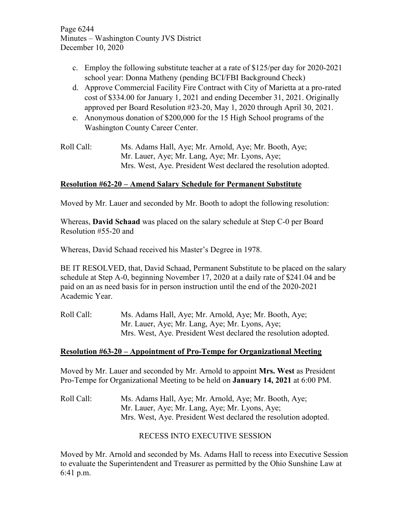Page 6244 Minutes – Washington County JVS District December 10, 2020

- c. Employ the following substitute teacher at a rate of \$125/per day for 2020-2021 school year: Donna Matheny (pending BCI/FBI Background Check)
- d. Approve Commercial Facility Fire Contract with City of Marietta at a pro-rated cost of \$334.00 for January 1, 2021 and ending December 31, 2021. Originally approved per Board Resolution #23-20, May 1, 2020 through April 30, 2021.
- e. Anonymous donation of \$200,000 for the 15 High School programs of the Washington County Career Center.

Roll Call: Ms. Adams Hall, Aye; Mr. Arnold, Aye; Mr. Booth, Aye; Mr. Lauer, Aye; Mr. Lang, Aye; Mr. Lyons, Aye; Mrs. West, Aye. President West declared the resolution adopted.

# **Resolution #62-20 – Amend Salary Schedule for Permanent Substitute**

Moved by Mr. Lauer and seconded by Mr. Booth to adopt the following resolution:

Whereas, **David Schaad** was placed on the salary schedule at Step C-0 per Board Resolution #55-20 and

Whereas, David Schaad received his Master's Degree in 1978.

BE IT RESOLVED, that, David Schaad, Permanent Substitute to be placed on the salary schedule at Step A-0, beginning November 17, 2020 at a daily rate of \$241.04 and be paid on an as need basis for in person instruction until the end of the 2020-2021 Academic Year.

Roll Call: Ms. Adams Hall, Aye; Mr. Arnold, Aye; Mr. Booth, Aye; Mr. Lauer, Aye; Mr. Lang, Aye; Mr. Lyons, Aye; Mrs. West, Aye. President West declared the resolution adopted.

# **Resolution #63-20 – Appointment of Pro-Tempe for Organizational Meeting**

Moved by Mr. Lauer and seconded by Mr. Arnold to appoint **Mrs. West** as President Pro-Tempe for Organizational Meeting to be held on **January 14, 2021** at 6:00 PM.

Roll Call: Ms. Adams Hall, Aye; Mr. Arnold, Aye; Mr. Booth, Aye; Mr. Lauer, Aye; Mr. Lang, Aye; Mr. Lyons, Aye; Mrs. West, Aye. President West declared the resolution adopted.

# RECESS INTO EXECUTIVE SESSION

Moved by Mr. Arnold and seconded by Ms. Adams Hall to recess into Executive Session to evaluate the Superintendent and Treasurer as permitted by the Ohio Sunshine Law at 6:41 p.m.